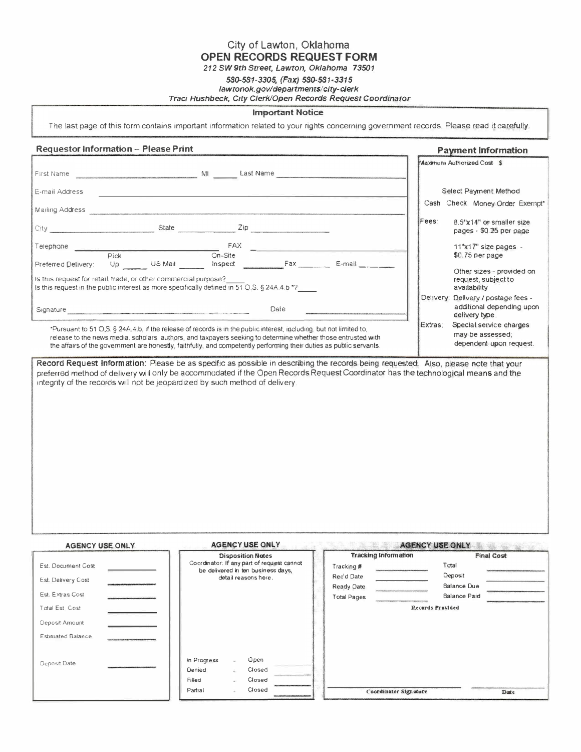City of Lawton, Oklahoma OPEN RECORDS REQUEST FORM

212 SW 9th Street, Lawton, Oklahoma 73501

## 580-581-3305, (Fax) 580-581·3315 lawtonok.gov/departments/city-clerk

### Traci Hushbeck, City Clerk/Open Records Request Coordinator

#### Important Notice

The last page of this form contains important information related to your rights concerning government records. Please read it carefully.

# Requestor Information - Please Print Payment Information

| First Name                                                                                                                                                                                                                                      |      |       | MI<br>Last Name |      |  |         | Maximum Authorized Cost \$                                                         |
|-------------------------------------------------------------------------------------------------------------------------------------------------------------------------------------------------------------------------------------------------|------|-------|-----------------|------|--|---------|------------------------------------------------------------------------------------|
| E-mail Address                                                                                                                                                                                                                                  |      |       |                 |      |  |         | Select Payment Method<br>Cash Check Money Order Exempt*                            |
| Mailing Address                                                                                                                                                                                                                                 |      |       |                 |      |  |         |                                                                                    |
|                                                                                                                                                                                                                                                 |      | State | Zip             |      |  | Fees:   | 8.5"x14" or smaller size<br>pages - \$0.25 per page                                |
|                                                                                                                                                                                                                                                 |      |       | FAX             |      |  |         | $11"x17"$ size pages -                                                             |
|                                                                                                                                                                                                                                                 | Pick |       | $On-Site$       |      |  |         | \$0.75 per page                                                                    |
| Fax<br>E-mail<br>US Mail<br>Inspect<br>Preferred Delivery:<br>Up<br>Is this request for retail, trade, or other commercial purpose?<br>Is this request in the public interest as more specifically defined in 51 O.S. $\S$ 24A.4.b $^{\star}$ ? |      |       |                 |      |  |         | Other sizes - provided on<br>request, subject to<br>availability                   |
| Signature                                                                                                                                                                                                                                       |      |       |                 | Date |  |         | Delivery: Delivery / postage fees -<br>additional depending upon<br>delivery type. |
| *Pursuant to 51 O.S. § 24A.4.b, if the release of records is in the public interest, including, but not limited to,                                                                                                                             |      |       |                 |      |  | Extras: | Special service charges<br>mou he accessed.                                        |

release to the news media, scholars, authors, and taxpayers seeking to determine whether those entrusted with may be assessed;<br>The affairs of the novemment are honestly, faithfully, and competently performing their duties the affairs of the government are honestly, faithfully, and competently performing their duties as public servants.

Record Request Information: Please be as specific as possible in describing the records being requested. Also, please note that your preferred method of delivery will only be accommodated if the Open Records Request Coordinator has the technological means and the mtegnty of the records will not be jeopardized by such method of delivery.

| <b>AGENCY USE ONLY</b>   | <b>AGENCY USE ONLY</b>                                                           | <b>AGENCY USE ONLY</b>      |                     |  |
|--------------------------|----------------------------------------------------------------------------------|-----------------------------|---------------------|--|
|                          | <b>Disposition Nates</b>                                                         | <b>Tracking Information</b> | <b>Final Cost</b>   |  |
| Est. Document Cost       | Coordinator: If any part of request cannot<br>be delivered in ten business days, | Tracking #                  | Total               |  |
| Est. Delivery Cost       | detail reasons here.                                                             | Rec'd Date                  | Deposit             |  |
|                          |                                                                                  | Ready Date                  | Balance Due         |  |
| Est. Extras Cost         |                                                                                  | <b>Total Pages</b>          | <b>Balance Paid</b> |  |
| Total Est Cost           |                                                                                  |                             | Records Provided    |  |
| Deposit Amount           |                                                                                  |                             |                     |  |
| <b>Estimated Balance</b> |                                                                                  |                             |                     |  |
| Deposit Date             | In Progress<br>Open<br>u.<br>Denied<br>Closed<br>s.<br>Closed<br>Filled<br>u.    |                             |                     |  |
|                          | Closed<br>Partial                                                                | Coordinator Signature       | Date                |  |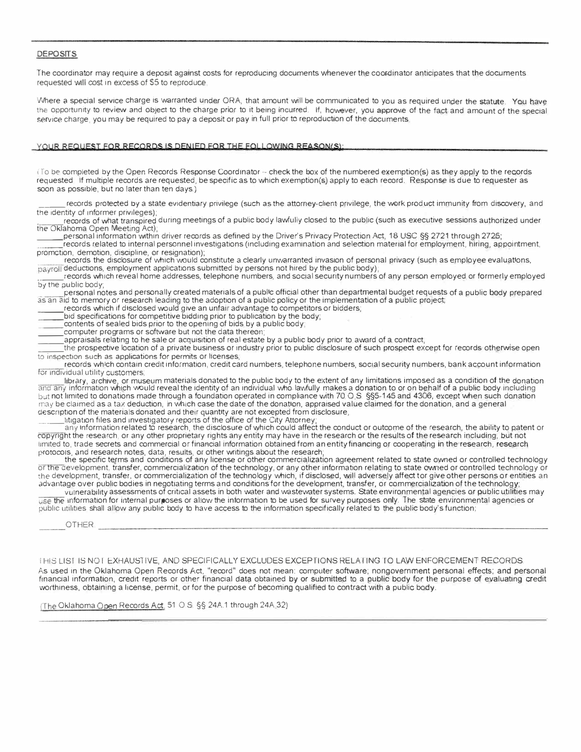### **DEPOSITS**

The coordinator may require a deposit against costs for reproducing documents whenever the coordinator anticipates that the documents requested will cost in excess of \$5 to reproduce

Where a special service charge is warranted under ORA, that amount will be communicated to you as required under the statute. You have the opportunity to review and object to the charge prior to it being incurred. If, however, you approve of the fact and amount of the special service charge, you may be required to pay a deposit or pay in full prior to reproduction of the documents.

## YOUR REQUEST FOR RECORDS IS DENIED FOR THE FOLLOWING REASON(S):

(To be completed by the Open Records Response Coordinator - check the box of the numbered exemption(s) as they apply to the records requested If multiple records are requested, be specific as to which exemption(s) apply to each record. Response is due to requester as soon as possible, but no later than ten days)

records protected by a state evidentiary privilege (such as the attorney-client privilege, the work product immunity from discovery, and the identity of informer privileges);

records of what transpired during meetings of a public body lawfully closed to the public (such as executive sessions authorized under the Oklahoma Open Meeting Act);

:== personal information vvithin driver records as defined by the Driver's Privacy Protection Act, 18 USC §§ 2721 through 2725;

records related to internal personnel investigations (including examination and selection material for employment, hiring, appointment, promotion, demotion, discipline, or resignation);

records the disclosure of which would constitute a clearly unwarranted invasion of personal privacy (such as employee evaluations, payroll deductions, employment applications submitted by persons not hired by the public body);

records which reveal home addresses, telephone numbers, and social security numbers of any person employed or formerly employed by the public body;

\_\_\_\_\_ personal notes and personally created materials of a public official other than departmental budget requests of a public body prepared as an aid to memory or research leading to the adoption of a public policy or the implementation of a public project;

records which if disclosed vvould give an unfair advantage to competitors or bidders;

bid specifications for competitive bidding prior to publication by the body;

contents of sealed bids prior to the opening of bids by a public body;

computer programs or software but not the data thereon;

appraisals relating to he sale or acquisition of real estate by a public body prior to avvard of a contract;

:== the prospective location of a private business or industry prior to public disclosure of such prospect except for records otherwise open to inspection such as applications for permits or licenses;

records which contain credit information, credit card numbers, telephone numbers, social security numbers, bank account information for individual utility customers;

library, archive, or museum materials donated to the public body to the extent of any limitations imposed as a condition of the donation and any information which would reveal the identity of an individual who lawfully makes a donation to or on behalf of a public body including but not limited to donations made through a foundation operated in compliance with 70 O.S. §§5-145 and 4306, except when such donation may be claimed as a tax deduction, in which case the date of the donation, appraised value claimed for the donation, and a general description of the materials donated and their quantity are not excepted from disclosure;

Ittigation files and investigatory reports of the office of the City Attorney;

any information related to research, the disclosure of which could affect the conduct or outcome of the research, the ability to patent or copyright the research, or any other proprietary rights any entity may have in the research or the results of the research including, but not limited to, trade secrets and commercial or financial information obtained from an entity financing or cooperating in the research, research

protocols, and research notes, data, results, or other writings about the research; the specific terms and conditions of any license or other commercialization agreement related to state owned or controlled technology or the development, transfer, commercialization of the technology, or any other information relating to state owned or controlled technology or the development, transfer, or commercialization of the technology which, if disclosed, will adversely affect tor give other persons or entities an advantage over public bodies in negotiating terms and conditions for the development, transfer, or commercialization of the technology;

vulnerability assessments of critical assets in both water and wastewater systems. State environmental agencies or public utilities may use the information for internal purposes or allow the information to be used for survey purposes only. The state environmental agencies or public utilities shall allow any public body to have access to the information specifically related to the public body's function;

**OTHER** 

THIS LIST IS NOT EXHAUSTIVE, AND SPECIFICALLY EXCLUDES EXCEPTIONS RELATING TO LAW ENFORCEMENT RECORDS.

As used in the Oklahoma Open Records Act, "record" does not mean: computer software; nongovernment personal effects; and personal financial information, credit reports or other financial data obtained by or submitted to a public body for the purpose of evaluating credit worthiness, obtaining a license, permit, or for the purpose of becoming qualified to contract with a public body.

(The Oklahoma Open Records Act, 51 O.S. §§ 24A.1 through 24A.32)